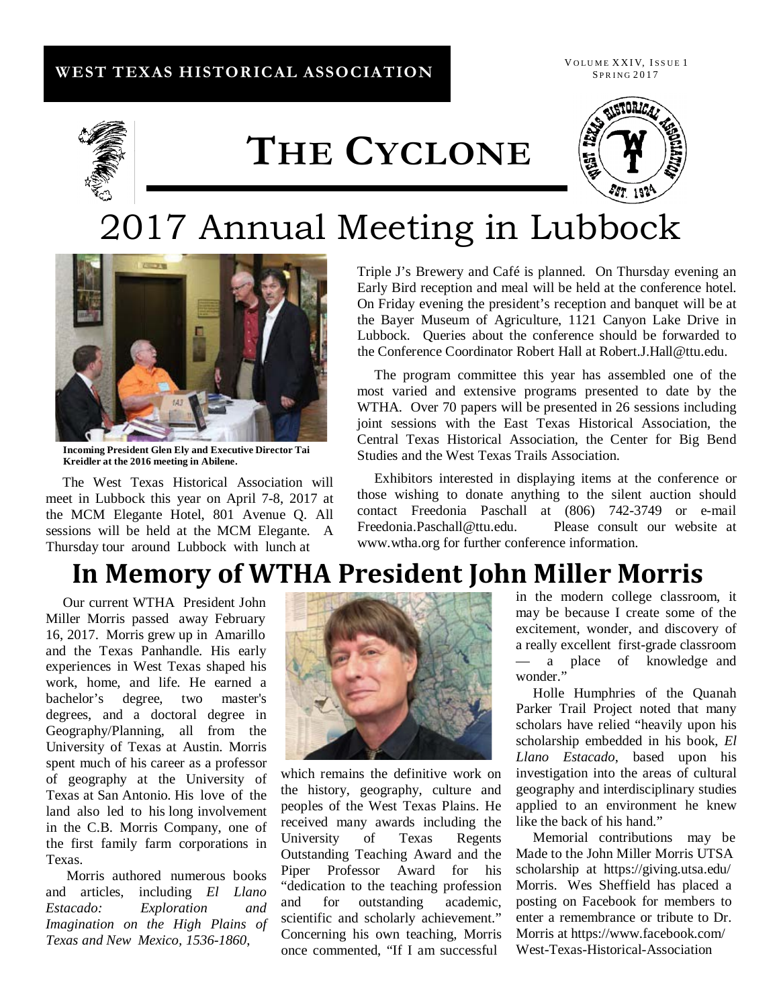#### **WEST TEXAS HISTORICAL ASSOCIATION**

VOLUME XXIV, ISSUE 1 SPRING 2017



# **THE CYCLONE**



## 2017 Annual Meeting in Lubbock



**Incoming President Glen Ely and Executive Director Tai Kreidler at the 2016 meeting in Abilene.**

The West Texas Historical Association will meet in Lubbock this year on April 7-8, 2017 at the MCM Elegante Hotel, 801 Avenue Q. All sessions will be held at the MCM Elegante. A Thursday tour around Lubbock with lunch at

Triple J's Brewery and Café is planned. On Thursday evening an Early Bird reception and meal will be held at the conference hotel. On Friday evening the president's reception and banquet will be at the Bayer Museum of Agriculture, 1121 Canyon Lake Drive in Lubbock. Queries about the conference should be forwarded to the Conference Coordinator Robert Hall at [Robert.J.Hall@ttu.edu.](mailto:Robert.J.Hall@ttu.edu)

The program committee this year has assembled one of the most varied and extensive programs presented to date by the WTHA. Over 70 papers will be presented in 26 sessions including joint sessions with the East Texas Historical Association, the Central Texas Historical Association, the Center for Big Bend Studies and the West Texas Trails Association.

Exhibitors interested in displaying items at the conference or those wishing to donate anything to the silent auction should contact Freedonia Paschall at (806) 742-3749 or e-mail [Freedonia.Paschall@ttu.edu. P](mailto:Freedonia.Paschall@ttu.edu)lease consult our website a[t](http://www.wtha.org/) [www.wtha.org](http://www.wtha.org/) for further conference information.

### **In Memory of WTHA President John Miller Morris**

Our current WTHA President John Miller Morris passed away February 16, 2017. Morris grew up in Amarillo and the Texas Panhandle. His early experiences in West Texas shaped his work, home, and life. He earned a bachelor's degree, two master's degrees, and a doctoral degree in Geography/Planning, all from the University of Texas at Austin. Morris spent much of his career as a professor of geography at the University of Texas at San Antonio. His love of the land also led to his long involvement in the C.B. Morris Company, one of the first family farm corporations in Texas.

Morris authored numerous books and articles, including *El Llano Estacado: Exploration and Imagination on the High Plains of Texas and New Mexico, 1536-1860*,



which remains the definitive work on the history, geography, culture and peoples of the West Texas Plains. He received many awards including the University of Texas Regents Outstanding Teaching Award and the Piper Professor Award for his "dedication to the teaching profession and for outstanding academic, scientific and scholarly achievement." Concerning his own teaching, Morris once commented, "If I am successful

in the modern college classroom, it may be because I create some of the excitement, wonder, and discovery of a really excellent first-grade classroom — a place of knowledge and wonder."

Holle Humphries of the Quanah Parker Trail Project noted that many scholars have relied "heavily upon his scholarship embedded in his book, *El Llano Estacado*, based upon his investigation into the areas of cultural geography and interdisciplinary studies applied to an environment he knew like the back of his hand."

Memorial contributions may be Made to the John Miller Morris UTSA scholarship at https://giving.utsa.edu/ Morris. Wes Sheffield has placed a posting on Facebook for members to enter a remembrance or tribute to Dr. Morris at https:/[/www.facebook.com/](http://www.facebook.com/) West-Texas-Historical-Association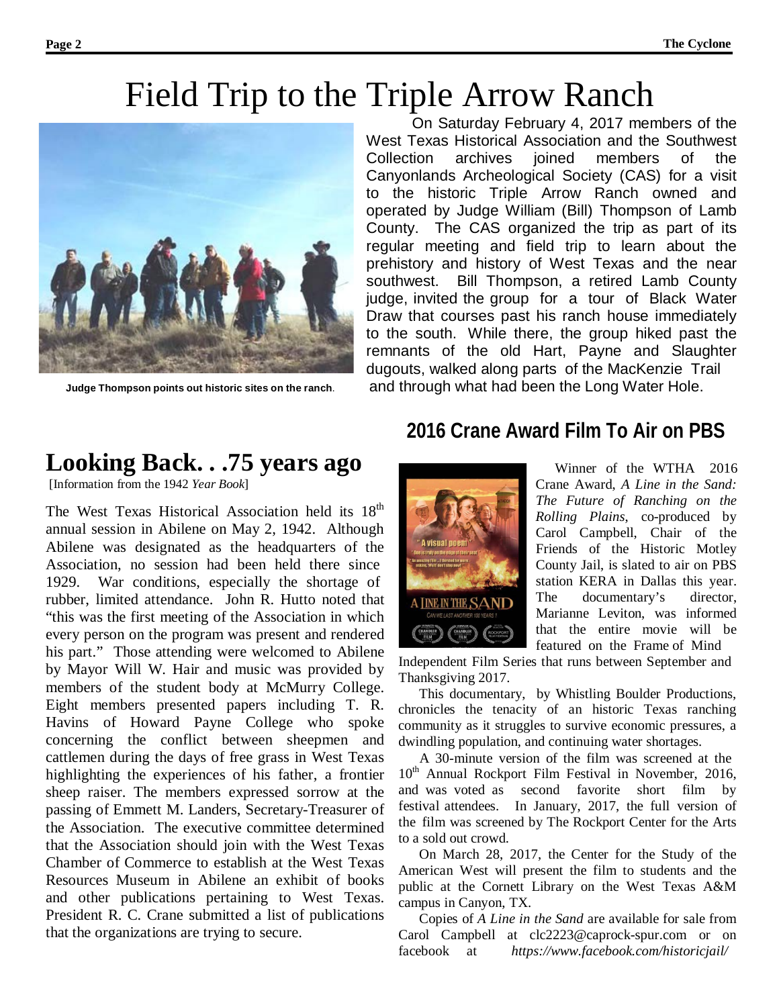### Field Trip to the Triple Arrow Ranch



On Saturday February 4, 2017 members of the West Texas Historical Association and the Southwest Collection archives joined members of the Canyonlands Archeological Society (CAS) for a visit to the historic Triple Arrow Ranch owned and operated by Judge William (Bill) Thompson of Lamb County. The CAS organized the trip as part of its regular meeting and field trip to learn about the prehistory and history of West Texas and the near southwest. Bill Thompson, a retired Lamb County judge, invited the group for a tour of Black Water Draw that courses past his ranch house immediately to the south. While there, the group hiked past the remnants of the old Hart, Payne and Slaughter dugouts, walked along parts of the MacKenzie Trail **Judge Thompson points out historic sites on the ranch**. and through what had been the Long Water Hole.

### **Looking Back. . .75 years ago**

[Information from the 1942 *Year Book*]

The West Texas Historical Association held its 18<sup>th</sup> annual session in Abilene on May 2, 1942. Although Abilene was designated as the headquarters of the Association, no session had been held there since 1929. War conditions, especially the shortage of rubber, limited attendance. John R. Hutto noted that "this was the first meeting of the Association in which every person on the program was present and rendered his part." Those attending were welcomed to Abilene by Mayor Will W. Hair and music was provided by members of the student body at McMurry College. Eight members presented papers including T. R. Havins of Howard Payne College who spoke concerning the conflict between sheepmen and cattlemen during the days of free grass in West Texas highlighting the experiences of his father, a frontier sheep raiser. The members expressed sorrow at the passing of Emmett M. Landers, Secretary-Treasurer of the Association. The executive committee determined that the Association should join with the West Texas Chamber of Commerce to establish at the West Texas Resources Museum in Abilene an exhibit of books and other publications pertaining to West Texas. President R. C. Crane submitted a list of publications that the organizations are trying to secure.

### **2016 Crane Award Film To Air on PBS**



Winner of the WTHA 2016 Crane Award, *A Line in the Sand: The Future of Ranching on the Rolling Plains*, co-produced by Carol Campbell, Chair of the Friends of the Historic Motley County Jail, is slated to air on PBS station KERA in Dallas this year. The documentary's director, Marianne Leviton, was informed that the entire movie will be featured on the Frame of Mind

Independent Film Series that runs between September and Thanksgiving 2017.

This documentary, by Whistling Boulder Productions, chronicles the tenacity of an historic Texas ranching community as it struggles to survive economic pressures, a dwindling population, and continuing water shortages.

A 30-minute version of the film was screened at the 10<sup>th</sup> Annual Rockport Film Festival in November, 2016, and was voted as second favorite short film by festival attendees. In January, 2017, the full version of the film was screened by The Rockport Center for the Arts to a sold out crowd.

On March 28, 2017, the Center for the Study of the American West will present the film to students and the public at the Cornett Library on the West Texas A&M campus in Canyon, TX.

Copies of *A Line in the Sand* are available for sale from Carol Campbell at [clc2223@caprock-spur.com](mailto:clc2223@caprock-spur.com) or on facebook at *https:[//www.facebook.com/historicjail/](http://www.facebook.com/historicjail/)*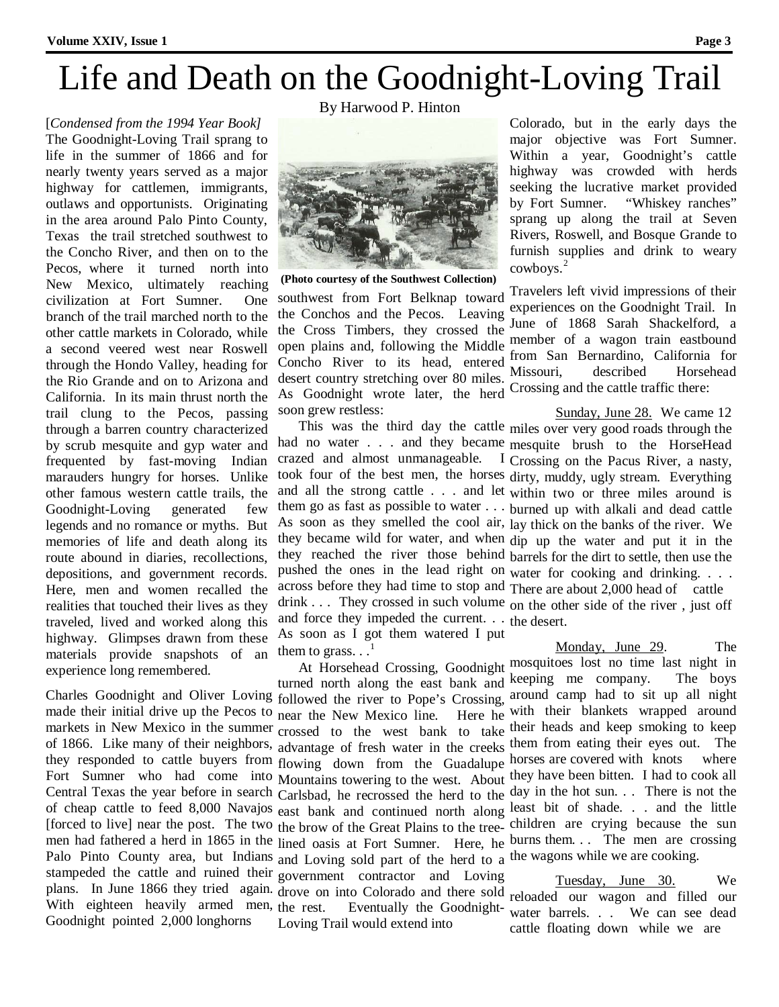## Life and Death on the Goodnight-Loving Trail

[*Condensed from the 1994 Year Book]*  The Goodnight-Loving Trail sprang to life in the summer of 1866 and for nearly twenty years served as a major highway for cattlemen, immigrants, outlaws and opportunists. Originating in the area around Palo Pinto County, Texas the trail stretched southwest to the Concho River, and then on to the Pecos, where it turned north into New Mexico, ultimately reaching civilization at Fort Sumner. One branch of the trail marched north to the other cattle markets in Colorado, while a second veered west near Roswell through the Hondo Valley, heading for the Rio Grande and on to Arizona and California. In its main thrust north the trail clung to the Pecos, passing through a barren country characterized by scrub mesquite and gyp water and frequented by fast-moving Indian marauders hungry for horses. Unlike other famous western cattle trails, the Goodnight-Loving generated few legends and no romance or myths. But memories of life and death along its route abound in diaries, recollections, depositions, and government records. Here, men and women recalled the realities that touched their lives as they traveled, lived and worked along this highway. Glimpses drawn from these materials provide snapshots of an experience long remembered.

Charles Goodnight and Oliver Loving followed the river to Pope's Crossing, around camp had to sit up all night made their initial drive up the Pecos to near the New Mexico line. Here he with their blankets wrapped around markets in New Mexico in the summer crossed to the west bank to take their heads and keep smoking to keep of 1866. Like many of their neighbors, advantage of fresh water in the creeks them from eating their eyes out. The they responded to cattle buyers from flowing down from the Guadalupe horses are covered with knots where Fort Sumner who had come into Mountains towering to the west. About they have been bitten. I had to cook all Central Texas the year before in search Carlsbad, he recrossed the herd to the day in the hot sun. . . There is not the of cheap cattle to feed 8,000 Navajos east bank and continued north along least bit of shade. . . and the little [forced to live] near the post. The two the brow of the Great Plains to the tree-children are crying because the sun men had fathered a herd in 1865 in the lined oasis at Fort Sumner. Here, he burns them. . . The men are crossing Palo Pinto County area, but Indians and Loving sold part of the herd to a the wagons while we are cooking. stampeded the cattle and ruined their government contractor and Loving plans. In June 1866 they tried again. drove on into Colorado and there sold With eighteen heavily armed men, the rest. Goodnight pointed 2,000 longhorns

By Harwood P. Hinton



**(Photo courtesy of the Southwest Collection)**

southwest from Fort Belknap toward the Conchos and the Pecos. Leaving the Cross Timbers, they crossed the open plains and, following the Middle Concho River to its head, entered  $\frac{1}{100}$  Sandacent country stratching over  $90 \text{ miles}$  Missouri, desert country stretching over 80 miles. As Goodnight wrote later, the herd soon grew restless:

had no water . . . and they became mesquite brush to the HorseHead crazed and almost unmanageable. took four of the best men, the horses dirty, muddy, ugly stream. Everything and all the strong cattle . . . and let within two or three miles around is across before they had time to stop and There are about 2,000 head of cattle and force they impeded the current. . . the desert. As soon as I got them watered I put them to grass.  $\ldots$ <sup>1</sup>

the rest. Eventually the Goodnight- water barrels. . . We can see dead Loving Trail would extend into

Colorado, but in the early days the major objective was Fort Sumner. Within a year, Goodnight's cattle highway was crowded with herds seeking the lucrative market provided by Fort Sumner. "Whiskey ranches" sprang up along the trail at Seven Rivers, Roswell, and Bosque Grande to furnish supplies and drink to weary cowboys.<sup>2</sup>

Travelers left vivid impressions of their experiences on the Goodnight Trail. In June of 1868 Sarah Shackelford, a member of a wagon train eastbound from San Bernardino, California for described Horsehead Crossing and the cattle traffic there:

This was the third day the cattle miles over very good roads through the them go as fast as possible to water . . . burned up with alkali and dead cattle As soon as they smelled the cool air, lay thick on the banks of the river. We they became wild for water, and when dip up the water and put it in the they reached the river those behind barrels for the dirt to settle, then use the pushed the ones in the lead right on water for cooking and drinking. . . . drink . . . They crossed in such volume on the other side of the river , just off Sunday, June 28. We came 12 Crossing on the Pacus River, a nasty,

At Horsehead Crossing, Goodnight mosquitoes lost no time last night in turned north along the east bank and keeping me company. The boys Monday, June 29. The

> Tuesday, June 30. We reloaded our wagon and filled our cattle floating down while we are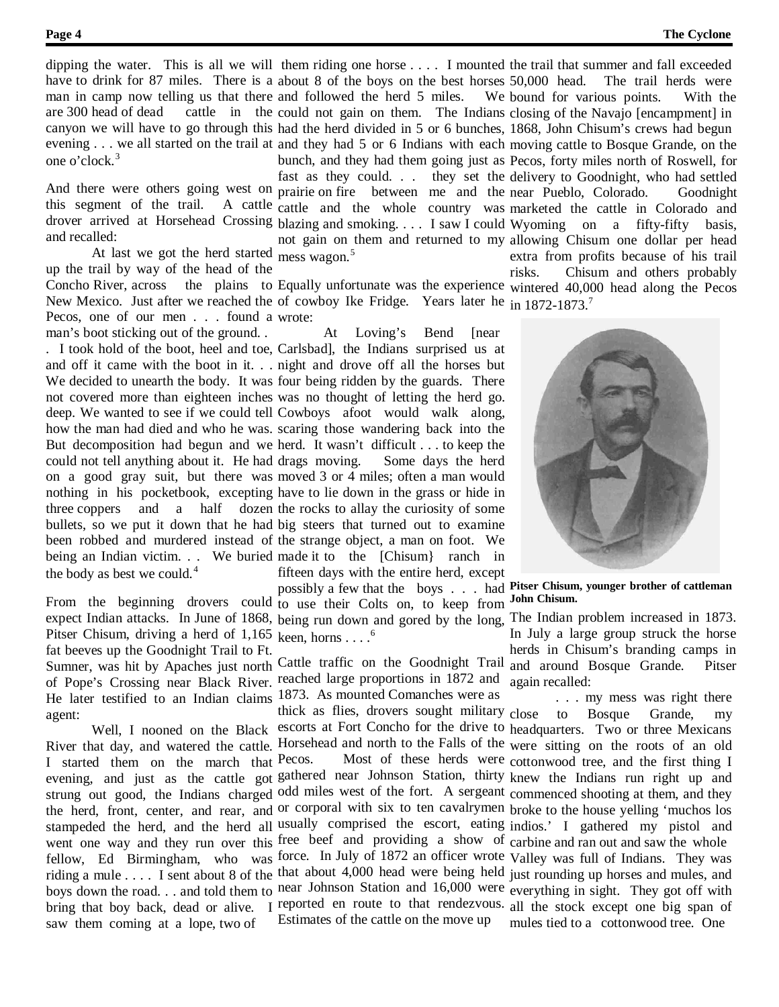are 300 head of dead one o'clock. 3

and recalled:

At last we got the herd started mess wagon. 5 up the trail by way of the head of the Pecos, one of our men . . . found a wrote: man's boot sticking out of the ground. .

could not tell anything about it. He had drags moving. the body as best we could. $4$ 

Pitser Chisum, driving a herd of 1,165 keen, horns . . . .<sup>6</sup> fat beeves up the Goodnight Trail to Ft. of Pope's Crossing near Black River. reached large proportions in 1872 and He later testified to an Indian claims 1873. As mounted Comanches were as agent:

I started them on the march that Pecos. saw them coming at a lope, two of

dipping the water. This is all we will them riding one horse .... I mounted the trail that summer and fall exceeded have to drink for 87 miles. There is a about 8 of the boys on the best horses man in camp now telling us that there and followed the herd 5 miles. We canyon we will have to go through this had the herd divided in 5 or 6 bunches, 1868, John Chisum's crews had begun evening . . . we all started on the trail at and they had 5 or 6 Indians with each moving cattle to Bosque Grande, on the And there were others going west on prairie on fire between me and the near Pueblo, Colorado. Goodnight this segment of the trail. A cattle cattle and the whole country was marketed the cattle in Colorado and drover arrived at Horsehead Crossing blazing and smoking. . . . I saw I could Wyoming on a fifty-fifty basis, could not gain on them. The Indians closing of the Navajo [encampment] in bunch, and they had them going just as Pecos, forty miles north of Roswell, for fast as they could. . . they set the delivery to Goodnight, who had settled not gain on them and returned to my allowing Chisum one dollar per head The trail herds were We bound for various points. With the extra from profits because of his trail

Concho River, across the plains to Equally unfortunate was the experience wintered 40,000 head along the Pecos New Mexico. Just after we reached the of cowboy Ike Fridge. Years later he in 1872-1873.<sup>7</sup> risks. Chisum and others probably

. I took hold of the boot, heel and toe, Carlsbad], the Indians surprised us at and off it came with the boot in it. . . night and drove off all the horses but We decided to unearth the body. It was four being ridden by the guards. There not covered more than eighteen inches was no thought of letting the herd go. deep. We wanted to see if we could tell Cowboys afoot would walk along, how the man had died and who he was. scaring those wandering back into the But decomposition had begun and we herd. It wasn't difficult . . . to keep the on a good gray suit, but there was moved 3 or 4 miles; often a man would nothing in his pocketbook, excepting have to lie down in the grass or hide in three coppers and a half dozen the rocks to allay the curiosity of some bullets, so we put it down that he had big steers that turned out to examine been robbed and murdered instead of the strange object, a man on foot. We being an Indian victim. . . We buried made it to the [Chisum} ranch in At Loving's Bend [near Some days the herd fifteen days with the entire herd, except

From the beginning drovers could to use their Colts on, to keep from expect Indian attacks. In June of 1868, being run down and gored by the long, The Indian problem increased in 1873. possibly a few that the boys . . . had **Pitser Chisum, younger brother of cattleman**

Sumner, was hit by Apaches just north Cattle traffic on the Goodnight Trail and around Bosque Grande. Pitser

Well, I nooned on the Black escorts at Fort Concho for the drive to headquarters. Two or three Mexicans River that day, and watered the cattle. Horsehead and north to the Falls of the were sitting on the roots of an old evening, and just as the cattle got gathered near Johnson Station, thirty knew the Indians run right up and strung out good, the Indians charged odd miles west of the fort. A sergeant commenced shooting at them, and they the herd, front, center, and rear, and or corporal with six to ten cavalrymen broke to the house yelling 'muchos los stampeded the herd, and the herd all usually comprised the escort, eating indios.' I gathered my pistol and went one way and they run over this free beef and providing a show of carbine and ran out and saw the whole fellow, Ed Birmingham, who was force. In July of 1872 an officer wrote Valley was full of Indians. They was riding a mule . . . I sent about 8 of the that about 4,000 head were being held just rounding up horses and mules, and boys down the road. . . and told them to near Johnson Station and 16,000 were everything in sight. They got off with bring that boy back, dead or alive. I reported en route to that rendezvous. all the stock except one big span of Pecos. Most of these herds were cottonwood tree, and the first thing I

**John Chisum.**

In July a large group struck the horse herds in Chisum's branding camps in again recalled:

thick as flies, drovers sought military close to Bosque Grande, my Estimates of the cattle on the move up mules tied to a cottonwood tree. One. . . my mess was right there

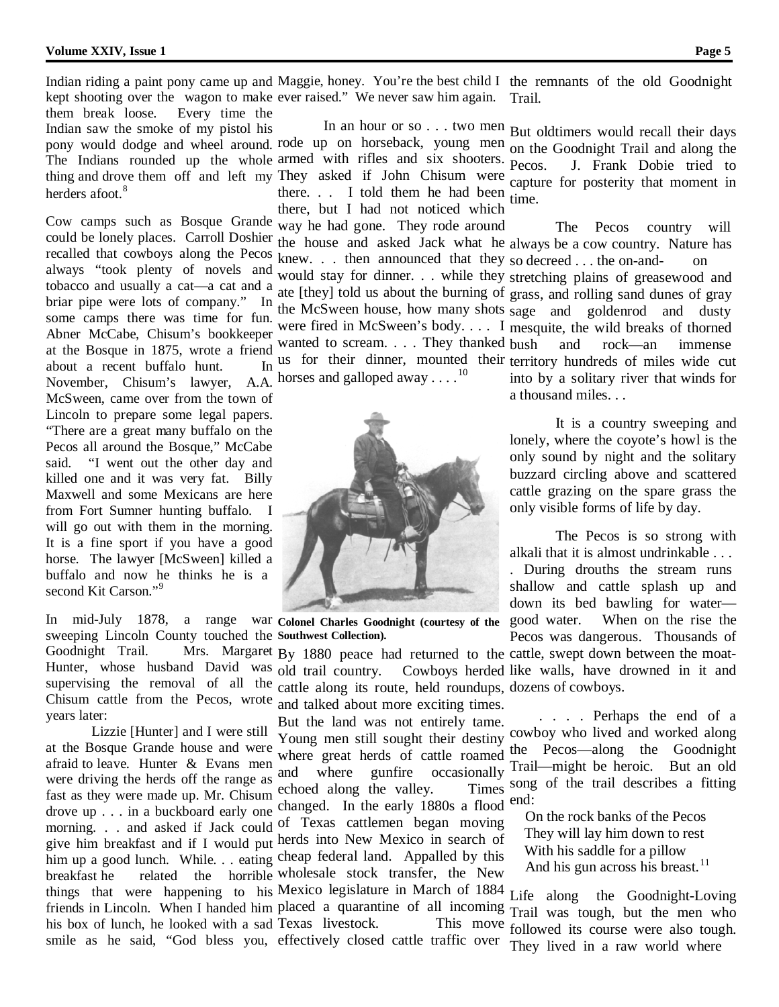Indian riding a paint pony came up and Maggie, honey. You're the best child I the remnants of the old Goodnight kept shooting over the wagon to make ever raised." We never saw him again. Trail.

them break loose. Every time the Indian saw the smoke of my pistol his pony would dodge and wheel around. rode up on horseback, young men on the Goodnight Trail and along the The Indians rounded up the whole armed with rifles and six shooters. thing and drove them off and left my They asked if John Chisum were herders afoot.<sup>8</sup>

Cow camps such as Bosque Grande could be lonely places. Carroll Doshier recalled that cowboys along the Pecos always "took plenty of novels and tobacco and usually a cat—a cat and a briar pipe were lots of company." In some camps there was time for fun. Abner McCabe, Chisum's bookkeeper at the Bosque in 1875, wrote a friend about a recent buffalo hunt. In November, Chisum's lawyer, A.A. McSween, came over from the town of Lincoln to prepare some legal papers. "There are a great many buffalo on the Pecos all around the Bosque," McCabe said. "I went out the other day and killed one and it was very fat. Billy Maxwell and some Mexicans are here from Fort Sumner hunting buffalo. I will go out with them in the morning. It is a fine sport if you have a good horse. The lawyer [McSween] killed a buffalo and now he thinks he is a second Kit Carson."<sup>9</sup>

In mid-July 1878, a range war **Colonel Charles Goodnight (courtesy of the** sweeping Lincoln County touched the **Southwest Collection).** Goodnight Trail. Mrs. Margaret By 1880 peace had returned to the cattle, swept down between the moat-Hunter, whose husband David was old trail country. Cowboys herded supervising the removal of all the Chisum cattle from the Pecos, wrote years later:

Lizzie [Hunter] and I were still at the Bosque Grande house and were afraid to leave. Hunter  $\&$  Evans men  $\frac{\text{wnc}}{\text{and}}$ were driving the herds off the range as fast as they were made up. Mr. Chisum echoed along the valley. Times drove up . . . in a buckboard early one changed. In the early 1880s a flood morning. . . and asked if Jack could of Texas cattlemen began moving give him breakfast and if I would put herds into New Mexico in search of him up a good lunch. While. . . eating cheap federal land. Appalled by this breakfast he related the horrible wholesale stock transfer, the New things that were happening to his Mexico legislature in March of 1884 friends in Lincoln. When I handed him placed a quarantine of all incoming his box of lunch, he looked with a sad Texas livestock. This move

there.  $\therefore$  I told them he had been time. there, but I had not noticed which

way he had gone. They rode around knew. . . then announced that they so decreed . . . the on-and- on wanted to scream. . . . They thanked bush horses and galloped away . . . .<sup>10</sup>



cattle along its route, held roundups, dozens of cowboys. and talked about more exciting times.

But the land was not entirely tame. Young men still sought their destiny where great herds of cattle roamed the Pecos—along the Goodnight where gunfire occasionally

smile as he said, "God bless you, effectively closed cattle traffic over

In an hour or so . . . two men But oldtimers would recall their days Pecos. J. Frank Dobie tried to capture for posterity that moment in

the house and asked Jack what he always be a cow country. Nature has would stay for dinner. . . while they stretching plains of greasewood and ate [they] told us about the burning of grass, and rolling sand dunes of gray the McSween house, how many shots sage and goldenrod and dusty were fired in McSween's body. . . . I mesquite, the wild breaks of thorned us for their dinner, mounted their territory hundreds of miles wide cut The Pecos country will and rock—an immense into by a solitary river that winds for

a thousand miles. . .

It is a country sweeping and lonely, where the coyote's howl is the only sound by night and the solitary buzzard circling above and scattered cattle grazing on the spare grass the only visible forms of life by day.

The Pecos is so strong with alkali that it is almost undrinkable . . . . During drouths the stream runs shallow and cattle splash up and down its bed bawling for water— When on the rise the Pecos was dangerous. Thousands of

Cowboys herded like walls, have drowned in it and

. . . . Perhaps the end of a cowboy who lived and worked along Trail—might be heroic. But an old song of the trail describes a fitting end:

On the rock banks of the Pecos They will lay him down to rest With his saddle for a pillow And his gun across his breast.<sup>11</sup>

Life along the Goodnight-Loving Trail was tough, but the men who followed its course were also tough. They lived in a raw world where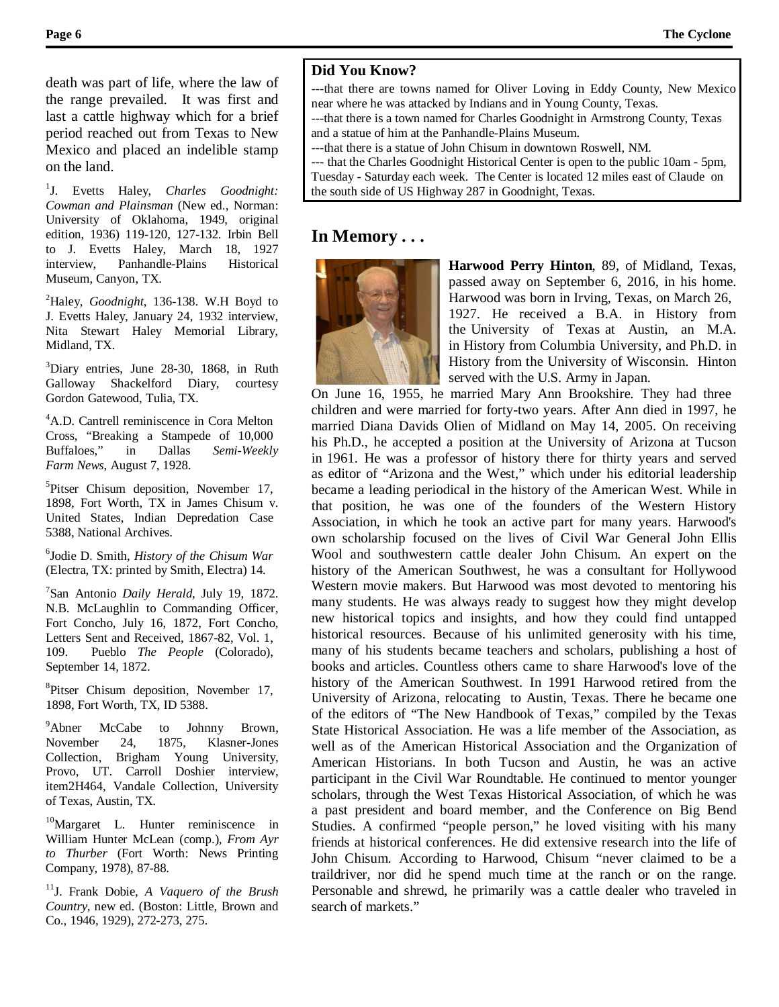death was part of life, where the law of the range prevailed. It was first and last a cattle highway which for a brief period reached out from Texas to New Mexico and placed an indelible stamp on the land.

1 J. Evetts Haley, *Charles Goodnight: Cowman and Plainsman* (New ed., Norman: University of Oklahoma, 1949, original edition, 1936) 119-120, 127-132. Irbin Bell to J. Evetts Haley, March 18, 1927 interview, Panhandle-Plains Historical Museum, Canyon, TX.

2 Haley, *Goodnight*, 136-138. W.H Boyd to J. Evetts Haley, January 24, 1932 interview, Nita Stewart Haley Memorial Library, Midland, TX.

3 Diary entries, June 28-30, 1868, in Ruth Galloway Shackelford Diary, courtesy Gordon Gatewood, Tulia, TX.

4 A.D. Cantrell reminiscence in Cora Melton Cross, "Breaking a Stampede of 10,000 Buffaloes," in Dallas *Semi-Weekly Farm News*, August 7, 1928.

<sup>5</sup>Pitser Chisum deposition, November 17, 1898, Fort Worth, TX in James Chisum v. United States, Indian Depredation Case 5388, National Archives.

6 Jodie D. Smith, *History of the Chisum War* (Electra, TX: printed by Smith, Electra) 14.

7 San Antonio *Daily Herald*, July 19, 1872. N.B. McLaughlin to Commanding Officer, Fort Concho, July 16, 1872, Fort Concho, Letters Sent and Received, 1867-82, Vol. 1, 109. Pueblo *The People* (Colorado), September 14, 1872.

<sup>8</sup>Pitser Chisum deposition, November 17, 1898, Fort Worth, TX, ID 5388.

<sup>9</sup>Abner McCabe to Johnny Brown, November 24, 1875, Klasner-Jones Collection, Brigham Young University, Provo, UT. Carroll Doshier interview, item2H464, Vandale Collection, University of Texas, Austin, TX.

<sup>10</sup>Margaret L. Hunter reminiscence in William Hunter McLean (comp.), *From Ayr to Thurber* (Fort Worth: News Printing Company, 1978), 87-88.

11J. Frank Dobie, *A Vaquero of the Brush Country*, new ed. (Boston: Little, Brown and Co., 1946, 1929), 272-273, 275.

#### **Did You Know?**

---that there are towns named for Oliver Loving in Eddy County, New Mexico near where he was attacked by Indians and in Young County, Texas.

---that there is a town named for Charles Goodnight in Armstrong County, Texas and a statue of him at the Panhandle-Plains Museum.

---that there is a statue of John Chisum in downtown Roswell, NM.

--- that the Charles Goodnight Historical Center is open to the public 10am - 5pm, Tuesday - Saturday each week. The Center is located 12 miles east of Claude on the south side of US Highway 287 in Goodnight, Texas.

#### **In Memory . . .**



**Harwood Perry Hinton**, 89, of Midland, Texas, passed away on September 6, 2016, in his home. Harwood was born in Irving, Texas, on March 26, 1927. He received a B.A. in History from the University of Texas at Austin, an M.A. in History from Columbia University, and Ph.D. in History from the University of Wisconsin. Hinton served with the U.S. Army in Japan.

On June 16, 1955, he married Mary Ann Brookshire. They had three children and were married for forty-two years. After Ann died in 1997, he married Diana Davids Olien of Midland on May 14, 2005. On receiving his Ph.D., he accepted a position at the University of Arizona at Tucson in 1961. He was a professor of history there for thirty years and served as editor of "Arizona and the West," which under his editorial leadership became a leading periodical in the history of the American West. While in that position, he was one of the founders of the Western History Association, in which he took an active part for many years. Harwood's own scholarship focused on the lives of Civil War General John Ellis Wool and southwestern cattle dealer John Chisum. An expert on the history of the American Southwest, he was a consultant for Hollywood Western movie makers. But Harwood was most devoted to mentoring his many students. He was always ready to suggest how they might develop new historical topics and insights, and how they could find untapped historical resources. Because of his unlimited generosity with his time, many of his students became teachers and scholars, publishing a host of books and articles. Countless others came to share Harwood's love of the history of the American Southwest. In 1991 Harwood retired from the University of Arizona, relocating to Austin, Texas. There he became one of the editors of "The New Handbook of Texas," compiled by the Texas State Historical Association. He was a life member of the Association, as well as of the American Historical Association and the Organization of American Historians. In both Tucson and Austin, he was an active participant in the Civil War Roundtable. He continued to mentor younger scholars, through the West Texas Historical Association, of which he was a past president and board member, and the Conference on Big Bend Studies. A confirmed "people person," he loved visiting with his many friends at historical conferences. He did extensive research into the life of John Chisum. According to Harwood, Chisum "never claimed to be a traildriver, nor did he spend much time at the ranch or on the range. Personable and shrewd, he primarily was a cattle dealer who traveled in search of markets."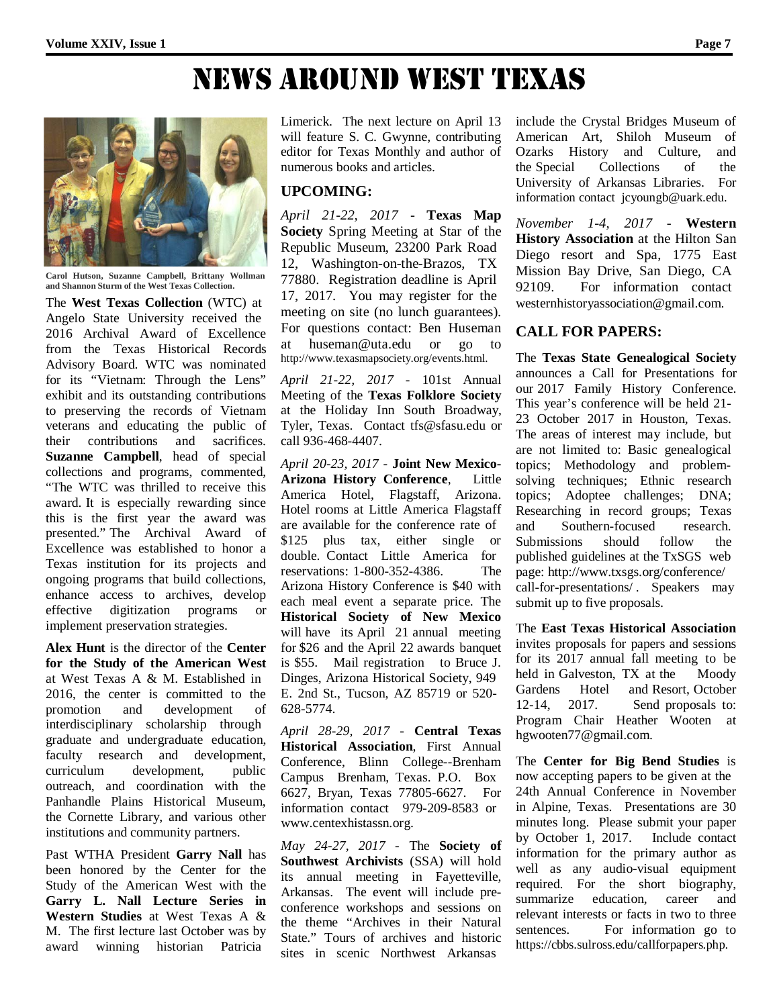News ArouNd west texAs



**Carol Hutson, Suzanne Campbell, Brittany Wollman and Shannon Sturm of the West Texas Collection.**

The **West Texas Collection** (WTC) at Angelo State University received the 2016 Archival Award of Excellence from the Texas Historical Records Advisory Board. WTC was nominated for its "Vietnam: Through the Lens" exhibit and its outstanding contributions to preserving the records of Vietnam veterans and educating the public of their contributions and sacrifices. **Suzanne Campbell**, head of special collections and programs, commented, "The WTC was thrilled to receive this award. It is especially rewarding since this is the first year the award was presented." The Archival Award of Excellence was established to honor a Texas institution for its projects and ongoing programs that build collections, enhance access to archives, develop effective digitization programs or implement preservation strategies.

**Alex Hunt** is the director of the **Center for the Study of the American West**  at West Texas A & M. Established in 2016, the center is committed to the promotion and development of interdisciplinary scholarship through graduate and undergraduate education, faculty research and development, curriculum development, public outreach, and coordination with the Panhandle Plains Historical Museum, the Cornette Library, and various other institutions and community partners.

Past WTHA President **Garry Nall** has been honored by the Center for the Study of the American West with the **Garry L. Nall Lecture Series in Western Studies** at West Texas A & M. The first lecture last October was by award winning historian Patricia

Limerick. The next lecture on April 13 will feature S. C. Gwynne, contributing editor for Texas Monthly and author of numerous books and articles.

#### **UPCOMING:**

*April 21-22, 2017* - **Texas Map Society** Spring Meeting at Star of the Republic Museum, 23200 Park Road 12, Washington-on-the-Brazos, TX 77880. Registration deadline is April 17, 2017. You may register for the meeting on site (no lunch guarantees). For questions contact: Ben Huseman at [huseman@uta.edu](mailto:huseman@uta.edu) or go to [http://www.texasmapsociety.org/events.html.](http://www.texasmapsociety.org/events.html)

*April 21-22, 2017* - 101st Annual Meeting of the **Texas Folklore Society**  at the Holiday Inn South Broadway, Tyler, Texas. Contact [tfs@sfasu.edu](mailto:tfs@sfasu.edu) or call 936-468-4407.

*April 20-23, 2017* - **Joint New Mexico-Arizona History Conference**, Little America Hotel, Flagstaff, Arizona. Hotel rooms at Little America Flagstaff are available for the conference rate of \$125 plus tax, either single or double. Contact Little America for reservations: 1-800-352-4386. The Arizona History Conference is \$40 with each meal event a separate price. The **Historical Society of New Mexico** will have its April 21 annual meeting for \$26 and the April 22 awards banquet is \$55. Mail registration to Bruce J. Dinges, Arizona Historical Society, 949 E. 2nd St., Tucson, AZ 85719 or 520- 628-5774.

*April 28-29, 2017* - **Central Texas Historical Association**, First Annual Conference, Blinn College--Brenham Campus Brenham, Texas. P.O. Box 6627, Bryan, Texas 77805-6627. For information contact 979-209-8583 or [www.centexhistassn.org.](http://www.centexhistassn.org/)

*May 24-27, 2017* - The **Society of Southwest Archivists** (SSA) will hold its annual meeting in Fayetteville, Arkansas. The event will include preconference workshops and sessions on the theme "Archives in their Natural State." Tours of archives and historic sites in scenic Northwest Arkansas

include the Crystal Bridges Museum of American Art, Shiloh Museum of Ozarks History and Culture, and the Special Collections of the University of Arkansas Libraries. For information contact [jcyoungb@uark.edu.](mailto:jcyoungb@uark.edu)

*November 1-4, 2017* - **Western History Association** at the Hilton San Diego resort and Spa, 1775 East Mission Bay Drive, San Diego, CA 92109. For information contact [westernhistoryassociation@gmail.com.](mailto:westernhistoryassociation@gmail.com)

#### **CALL FOR PAPERS:**

The **Texas State Genealogical Society**  announces a Call for Presentations for our 2017 Family History Conference. This year's conference will be held 21- 23 October 2017 in Houston, Texas. The areas of interest may include, but are not limited to: Basic genealogical topics; Methodology and problemsolving techniques; Ethnic research topics; Adoptee challenges; DNA; Researching in record groups; Texas<br>and Southern-focused research. and Southern-focused Submissions should follow the published guidelines at the TxSGS web page: <http://www.txsgs.org/conference/> call-for-presentations/ . Speakers may submit up to five proposals.

The **East Texas Historical Association** invites proposals for papers and sessions for its 2017 annual fall meeting to be held in Galveston, TX at the Moody Gardens Hotel and Resort, October 12-14, 2017. Send proposals to: Program Chair Heather Wooten at [hgwooten77@gmail.com.](mailto:hgwooten77@gmail.com)

The **Center for Big Bend Studies** is now accepting papers to be given at the 24th Annual Conference in November in Alpine, Texas. Presentations are 30 minutes long. Please submit your paper by October 1, 2017. Include contact information for the primary author as well as any audio-visual equipment required. For the short biography, summarize education, career and relevant interests or facts in two to three sentences. For information go to https://cbbs.sulross.edu/callforpapers.php.